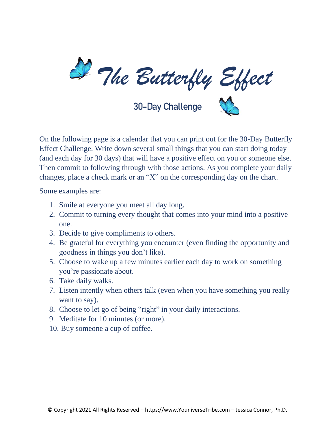

30-Day Challenge

On the following page is a calendar that you can print out for the 30-Day Butterfly Effect Challenge. Write down several small things that you can start doing today (and each day for 30 days) that will have a positive effect on you or someone else. Then commit to following through with those actions. As you complete your daily changes, place a check mark or an "X" on the corresponding day on the chart.

Some examples are:

- 1. Smile at everyone you meet all day long.
- 2. Commit to turning every thought that comes into your mind into a positive one.
- 3. Decide to give compliments to others.
- 4. Be grateful for everything you encounter (even finding the opportunity and goodness in things you don't like).
- 5. Choose to wake up a few minutes earlier each day to work on something you're passionate about.
- 6. Take daily walks.
- 7. Listen intently when others talk (even when you have something you really want to say).
- 8. Choose to let go of being "right" in your daily interactions.
- 9. Meditate for 10 minutes (or more).
- 10. Buy someone a cup of coffee.